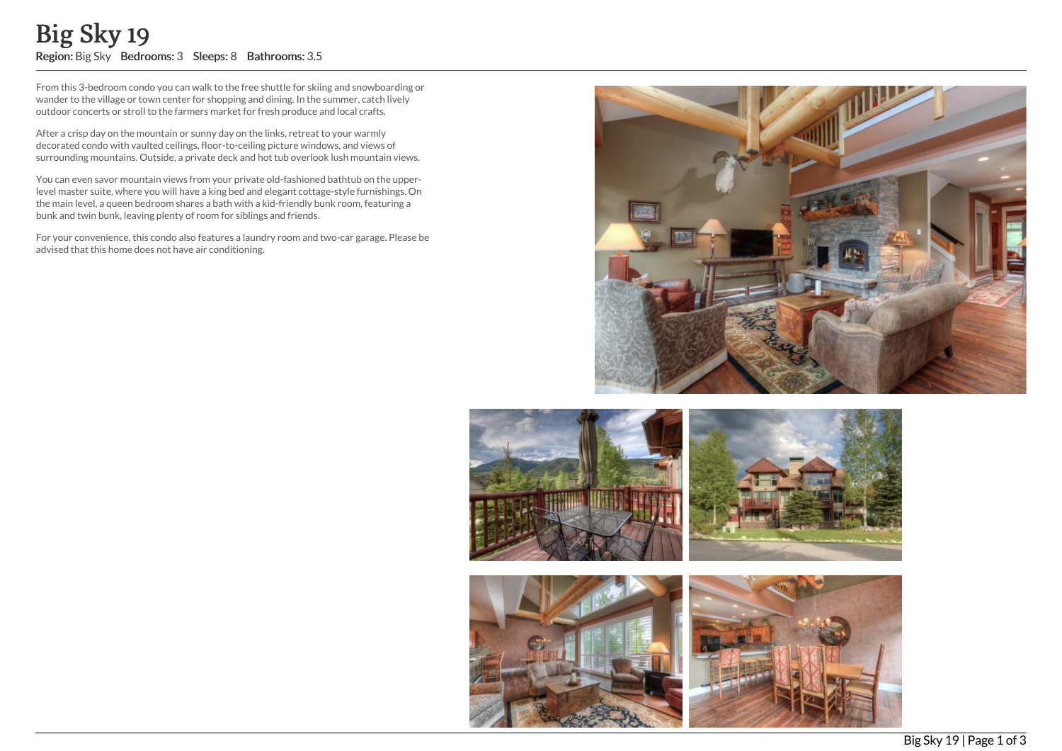## Big Sky 19 Region: Big Sky Bedrooms: 3 Sleeps: 8 Bathrooms: 3.5

From this 3-bedroom condo you can walk to the free shuttle for skiing and snowboarding or wander to the village or town center for shopping and dining. In the summer, catch lively outdoor concerts or stroll to the farmers market for fresh produce and local crafts.

After a crisp day on the mountain or sunny day on the links, retreat to your warmly decorated condo with vaulted ceilings, floor-to-ceiling picture windows, and views of surrounding mountains. Outside, a private deck and hot tub overlook lush mountain views.

You can even savor mountain views from your private old-fashioned bathtub on the upperlevel master suite, where you will have a king bed and elegant cottage-style furnishings. On the main level, a queen bedroom shares a bath with a kid-friendly bunk room, featuring a bunk and twin bunk, leaving plenty of room for siblings and friends.

For your convenience, this condo also features a laundry room and two-car garage. Please be advised that this home does not have air conditioning.



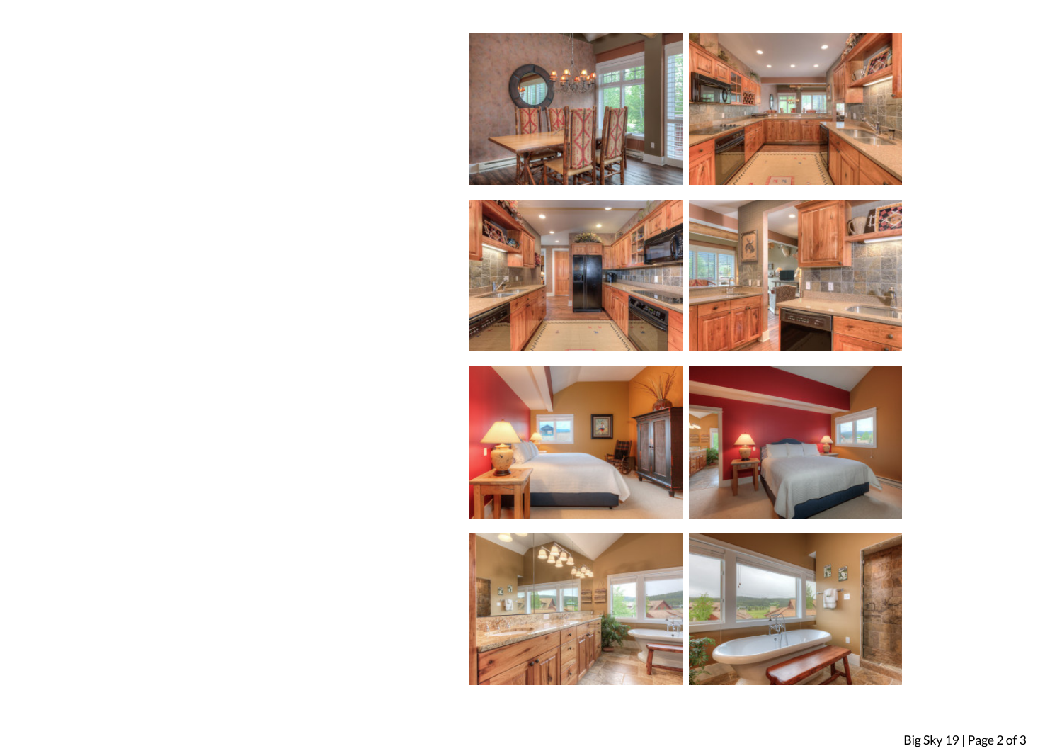